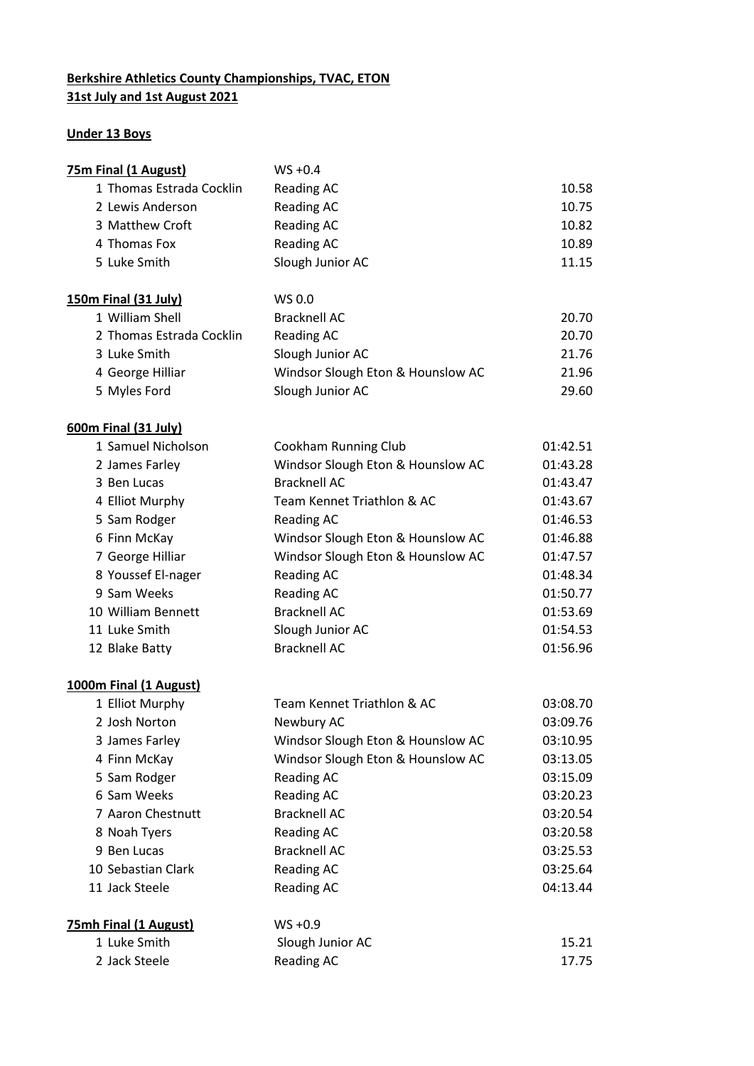## **Berkshire Athletics County Championships, TVAC, ETON 31st July and 1st August 2021**

## **Under 13 Boys**

| 75m Final (1 August)         | $WS + 0.4$                        |          |
|------------------------------|-----------------------------------|----------|
| 1 Thomas Estrada Cocklin     | <b>Reading AC</b>                 | 10.58    |
| 2 Lewis Anderson             | <b>Reading AC</b>                 | 10.75    |
| 3 Matthew Croft              | <b>Reading AC</b>                 | 10.82    |
| 4 Thomas Fox                 | <b>Reading AC</b>                 | 10.89    |
| 5 Luke Smith                 | Slough Junior AC                  | 11.15    |
| 150m Final (31 July)         | WS 0.0                            |          |
| 1 William Shell              | <b>Bracknell AC</b>               | 20.70    |
| 2 Thomas Estrada Cocklin     | <b>Reading AC</b>                 | 20.70    |
| 3 Luke Smith                 | Slough Junior AC                  | 21.76    |
| 4 George Hilliar             | Windsor Slough Eton & Hounslow AC | 21.96    |
| 5 Myles Ford                 | Slough Junior AC                  | 29.60    |
| <b>600m Final (31 July)</b>  |                                   |          |
| 1 Samuel Nicholson           | <b>Cookham Running Club</b>       | 01:42.51 |
| 2 James Farley               | Windsor Slough Eton & Hounslow AC | 01:43.28 |
| 3 Ben Lucas                  | <b>Bracknell AC</b>               | 01:43.47 |
| 4 Elliot Murphy              | Team Kennet Triathlon & AC        | 01:43.67 |
| 5 Sam Rodger                 | <b>Reading AC</b>                 | 01:46.53 |
| 6 Finn McKay                 | Windsor Slough Eton & Hounslow AC | 01:46.88 |
| 7 George Hilliar             | Windsor Slough Eton & Hounslow AC | 01:47.57 |
| 8 Youssef El-nager           | <b>Reading AC</b>                 | 01:48.34 |
| 9 Sam Weeks                  | <b>Reading AC</b>                 | 01:50.77 |
| 10 William Bennett           | <b>Bracknell AC</b>               | 01:53.69 |
| 11 Luke Smith                | Slough Junior AC                  | 01:54.53 |
| 12 Blake Batty               | <b>Bracknell AC</b>               | 01:56.96 |
| 1000m Final (1 August)       |                                   |          |
| 1 Elliot Murphy              | Team Kennet Triathlon & AC        | 03:08.70 |
| 2 Josh Norton                | Newbury AC                        | 03:09.76 |
| 3 James Farley               | Windsor Slough Eton & Hounslow AC | 03:10.95 |
| 4 Finn McKay                 | Windsor Slough Eton & Hounslow AC | 03:13.05 |
| 5 Sam Rodger                 | Reading AC                        | 03:15.09 |
| 6 Sam Weeks                  | <b>Reading AC</b>                 | 03:20.23 |
| 7 Aaron Chestnutt            | <b>Bracknell AC</b>               | 03:20.54 |
| 8 Noah Tyers                 | <b>Reading AC</b>                 | 03:20.58 |
| 9 Ben Lucas                  | <b>Bracknell AC</b>               | 03:25.53 |
| 10 Sebastian Clark           | <b>Reading AC</b>                 | 03:25.64 |
| 11 Jack Steele               | <b>Reading AC</b>                 | 04:13.44 |
| <b>75mh Final (1 August)</b> | $WS + 0.9$                        |          |
| 1 Luke Smith                 | Slough Junior AC                  | 15.21    |
| 2 Jack Steele                | <b>Reading AC</b>                 | 17.75    |